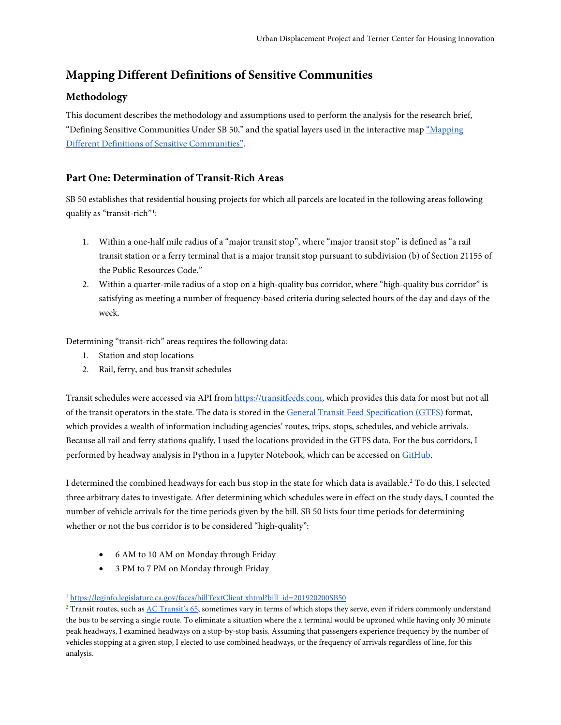# **Mapping Different Definitions of Sensitive Communities**

# **Methodology**

This document describes the methodology and assumptions used to perform the analysis for the research brief, "Defining Sensitive Communities Under SB 50," and the spatial layers used in the interactive map ["Mapping](http://upzoning.berkeley.edu/sensitive_communities.html)  [Different Definitions of Sensitive Communities".](http://upzoning.berkeley.edu/sensitive_communities.html)

## **Part One: Determination of Transit-Rich Areas**

SB 50 establishes that residential housing projects for which all parcels are located in the following areas following qualify as "transit-rich"[1](#page-0-0) :

- 1. Within a one-half mile radius of a "major transit stop", where "major transit stop" is defined as "a rail transit station or a ferry terminal that is a major transit stop pursuant to subdivision (b) of Section 21155 of the Public Resources Code."
- 2. Within a quarter-mile radius of a stop on a high-quality bus corridor, where "high-quality bus corridor" is satisfying as meeting a number of frequency-based criteria during selected hours of the day and days of the week.

Determining "transit-rich" areas requires the following data:

- 1. Station and stop locations
- 2. Rail, ferry, and bus transit schedules

Transit schedules were accessed via API from [https://transitfeeds.com,](https://transitfeeds.com/) which provides this data for most but not all of the transit operators in the state. The data is stored in the [General Transit Feed Specification \(GTFS\)](https://developers.google.com/transit/gtfs/reference/) format, which provides a wealth of information including agencies' routes, trips, stops, schedules, and vehicle arrivals. Because all rail and ferry stations qualify, I used the locations provided in the GTFS data. For the bus corridors, I performed by headway analysis in Python in a Jupyter Notebook, which can be accessed on [GitHub.](https://github.com/simonhochberg/eight-two-seven/blob/master/Headway%20Tool.ipynb)

I determined the combined headways for each bus stop in the state for which data is available.[2](#page-0-1) To do this, I selected three arbitrary dates to investigate. After determining which schedules were in effect on the study days, I counted the number of vehicle arrivals for the time periods given by the bill. SB 50 lists four time periods for determining whether or not the bus corridor is to be considered "high-quality":

- 6 AM to 10 AM on Monday through Friday
- 3 PM to 7 PM on Monday through Friday

 $\ddot{ }$ <sup>1</sup> [https://leginfo.legislature.ca.gov/faces/billTextClient.xhtml?bill\\_id=201920200SB50](https://leginfo.legislature.ca.gov/faces/billTextClient.xhtml?bill_id=201920200SB50)

<span id="page-0-1"></span><span id="page-0-0"></span><sup>&</sup>lt;sup>2</sup> Transit routes, such as <u>AC Transit's 65</u>, sometimes vary in terms of which stops they serve, even if riders commonly understand the bus to be serving a single route. To eliminate a situation where the a terminal would be upzoned while having only 30 minute peak headways, I examined headways on a stop-by-stop basis. Assuming that passengers experience frequency by the number of vehicles stopping at a given stop, I elected to use combined headways, or the frequency of arrivals regardless of line, for this analysis.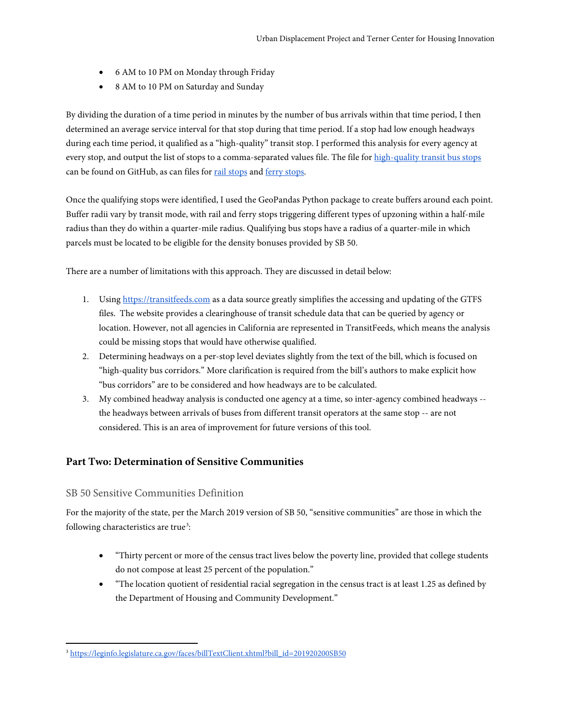- 6 AM to 10 PM on Monday through Friday
- 8 AM to 10 PM on Saturday and Sunday

By dividing the duration of a time period in minutes by the number of bus arrivals within that time period, I then determined an average service interval for that stop during that time period. If a stop had low enough headways during each time period, it qualified as a "high-quality" transit stop. I performed this analysis for every agency at every stop, and output the list of stops to a comma-separated values file. The file for high-quality transit bus stops can be found on GitHub, as can files for [rail stops](https://github.com/simonhochberg/eight-two-seven/blob/master/output/v3/AllRail.csv) an[d ferry stops.](https://github.com/simonhochberg/eight-two-seven/blob/master/output/v3/AllFerry.csv)

Once the qualifying stops were identified, I used the GeoPandas Python package to create buffers around each point. Buffer radii vary by transit mode, with rail and ferry stops triggering different types of upzoning within a half-mile radius than they do within a quarter-mile radius. Qualifying bus stops have a radius of a quarter-mile in which parcels must be located to be eligible for the density bonuses provided by SB 50.

There are a number of limitations with this approach. They are discussed in detail below:

- 1. Using [https://transitfeeds.com](https://transitfeeds.com/) as a data source greatly simplifies the accessing and updating of the GTFS files. The website provides a clearinghouse of transit schedule data that can be queried by agency or location. However, not all agencies in California are represented in TransitFeeds, which means the analysis could be missing stops that would have otherwise qualified.
- 2. Determining headways on a per-stop level deviates slightly from the text of the bill, which is focused on "high-quality bus corridors." More clarification is required from the bill's authors to make explicit how "bus corridors" are to be considered and how headways are to be calculated.
- 3. My combined headway analysis is conducted one agency at a time, so inter-agency combined headways the headways between arrivals of buses from different transit operators at the same stop -- are not considered. This is an area of improvement for future versions of this tool.

### **Part Two: Determination of Sensitive Communities**

#### SB 50 Sensitive Communities Definition

 $\overline{a}$ 

For the majority of the state, per the March 2019 version of SB 50, "sensitive communities" are those in which the following characteristics are true<sup>[3](#page-1-0)</sup>:

- "Thirty percent or more of the census tract lives below the poverty line, provided that college students do not compose at least 25 percent of the population."
- "The location quotient of residential racial segregation in the census tract is at least 1.25 as defined by the Department of Housing and Community Development."

<span id="page-1-0"></span><sup>3</sup> [https://leginfo.legislature.ca.gov/faces/billTextClient.xhtml?bill\\_id=201920200SB50](https://leginfo.legislature.ca.gov/faces/billTextClient.xhtml?bill_id=201920200SB50)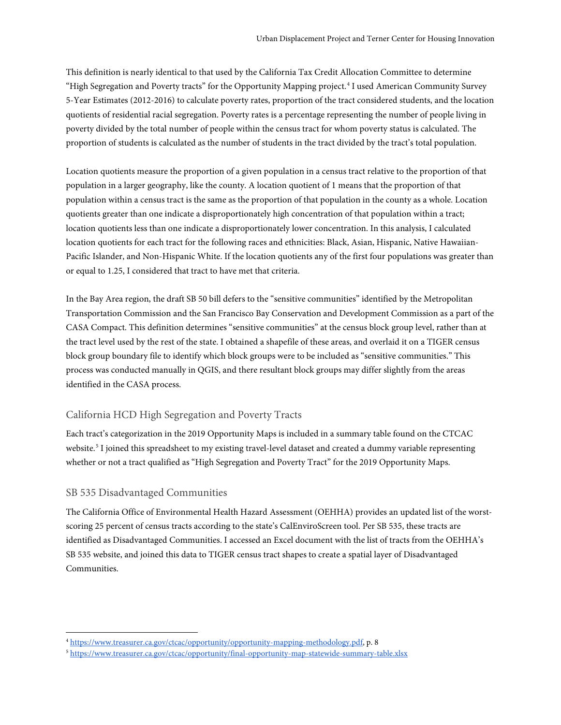This definition is nearly identical to that used by the California Tax Credit Allocation Committee to determine "High Segregation and Poverty tracts" for the Opportunity Mapping project.<sup>[4](#page-2-0)</sup> I used American Community Survey 5-Year Estimates (2012-2016) to calculate poverty rates, proportion of the tract considered students, and the location quotients of residential racial segregation. Poverty rates is a percentage representing the number of people living in poverty divided by the total number of people within the census tract for whom poverty status is calculated. The proportion of students is calculated as the number of students in the tract divided by the tract's total population.

Location quotients measure the proportion of a given population in a census tract relative to the proportion of that population in a larger geography, like the county. A location quotient of 1 means that the proportion of that population within a census tract is the same as the proportion of that population in the county as a whole. Location quotients greater than one indicate a disproportionately high concentration of that population within a tract; location quotients less than one indicate a disproportionately lower concentration. In this analysis, I calculated location quotients for each tract for the following races and ethnicities: Black, Asian, Hispanic, Native Hawaiian-Pacific Islander, and Non-Hispanic White. If the location quotients any of the first four populations was greater than or equal to 1.25, I considered that tract to have met that criteria.

In the Bay Area region, the draft SB 50 bill defers to the "sensitive communities" identified by the Metropolitan Transportation Commission and the San Francisco Bay Conservation and Development Commission as a part of the CASA Compact. This definition determines "sensitive communities" at the census block group level, rather than at the tract level used by the rest of the state. I obtained a shapefile of these areas, and overlaid it on a TIGER census block group boundary file to identify which block groups were to be included as "sensitive communities." This process was conducted manually in QGIS, and there resultant block groups may differ slightly from the areas identified in the CASA process.

### California HCD High Segregation and Poverty Tracts

Each tract's categorization in the 2019 Opportunity Maps is included in a summary table found on the CTCAC website.<sup>[5](#page-2-1)</sup> I joined this spreadsheet to my existing travel-level dataset and created a dummy variable representing whether or not a tract qualified as "High Segregation and Poverty Tract" for the 2019 Opportunity Maps.

#### SB 535 Disadvantaged Communities

 $\overline{a}$ 

The California Office of Environmental Health Hazard Assessment (OEHHA) provides an updated list of the worstscoring 25 percent of census tracts according to the state's CalEnviroScreen tool. Per SB 535, these tracts are identified as Disadvantaged Communities. I accessed an Excel document with the list of tracts from the OEHHA's SB 535 website, and joined this data to TIGER census tract shapes to create a spatial layer of Disadvantaged Communities.

<span id="page-2-0"></span><sup>4</sup> [https://www.treasurer.ca.gov/ctcac/opportunity/opportunity-mapping-methodology.pdf,](https://www.treasurer.ca.gov/ctcac/opportunity/opportunity-mapping-methodology.pdf) p. 8

<span id="page-2-1"></span><sup>5</sup> <https://www.treasurer.ca.gov/ctcac/opportunity/final-opportunity-map-statewide-summary-table.xlsx>